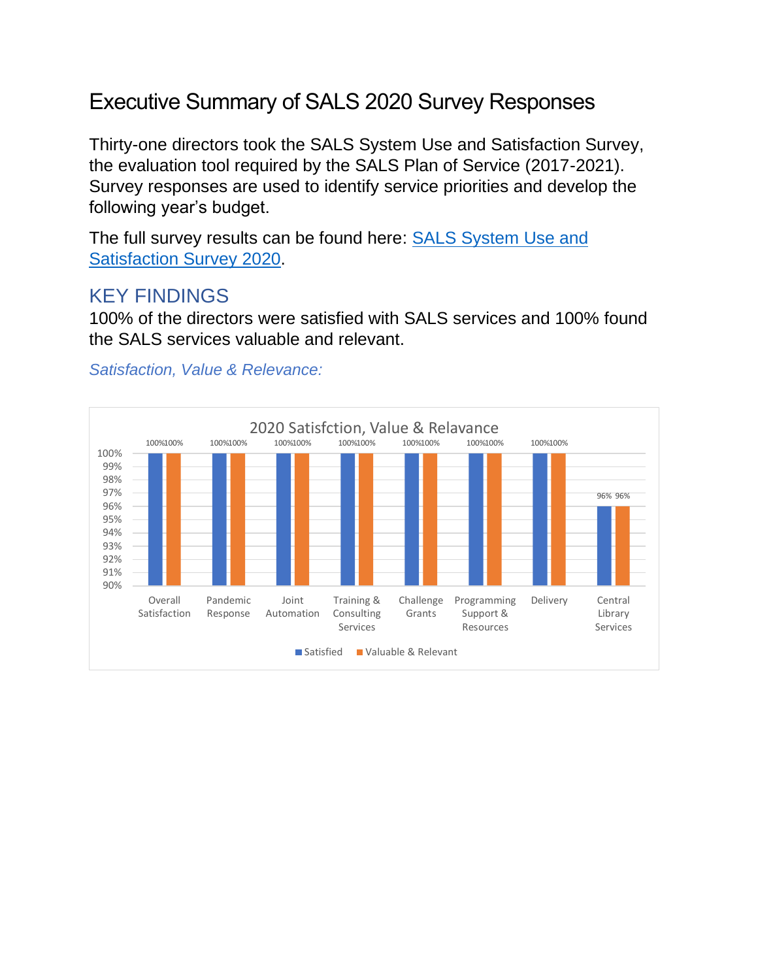# Executive Summary of SALS 2020 Survey Responses

Thirty-one directors took the SALS System Use and Satisfaction Survey, the evaluation tool required by the SALS Plan of Service (2017-2021). Survey responses are used to identify service priorities and develop the following year's budget.

The full survey results can be found here: SALS System Use and Satisfaction Survey 2020.

## KEY FINDINGS

100% of the directors were satisfied with SALS services and 100% found the SALS services valuable and relevant.

#### *Satisfaction, Value & Relevance:*